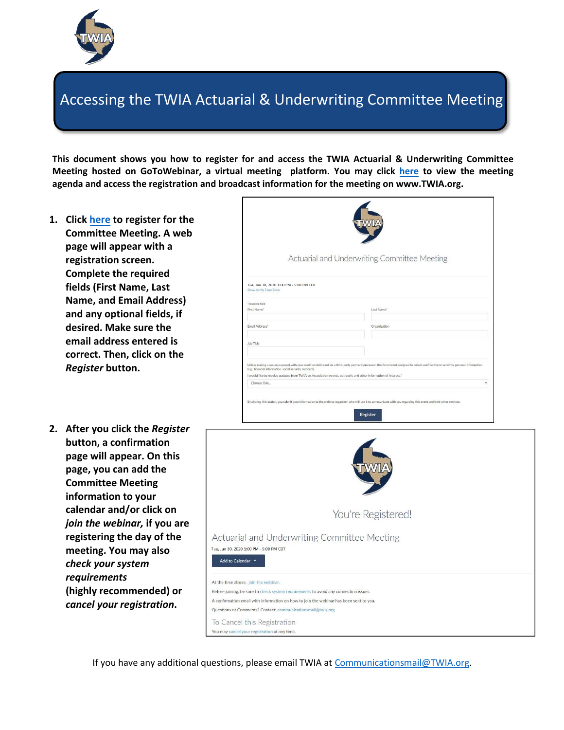

## Accessing the TWIA Actuarial & Underwriting Committee Meeting

**This document shows you how to register for and access the TWIA Actuarial & Underwriting Co[mmittee](https://attendee.gotowebinar.com/register/8243953873065111566) Meeting hosted on GoToWebinar, a virtual meeting platform. You may click [here](https://bit.ly/3bO2TwW) to view the meeting agenda and access the registration and broadcast information for the meeting o[n www.TWIA.org.](http://www.twia.org/)** 

- **1. Click [here](https://attendee.gotowebinar.com/register/8077805573078217744) to register for the Committee Meeting. A web page will appear with a registration screen. Complete the required fields (First Name, Last Name, and Email Address) and any optional fields, if desired. Make sure the email address entered is correct. Then, click on the** *Register* **button.**
- **2. After you click the** *Register* **button, a confirmation page will appear. On this page, you can add the Committee Meeting information to your calendar and/or click on** *join the webinar,* **if you are registering the day of t[he](https://link.gotowebinar.com/confirmation?source=attendeeRegistrationPage&language=english) [meeting. You may also](https://link.gotowebinar.com/confirmation?source=attendeeRegistrationPage&language=english)** *check your system requirements* **(highly recommended) or** *cancel your registration***.**



You're Registered!

Actuarial and Underwriting Committee Meeting



If you have any additional questions, please email TWIA at [Communicationsmail@TWIA.org.](mailto:Communicationsmail@TWIA.org)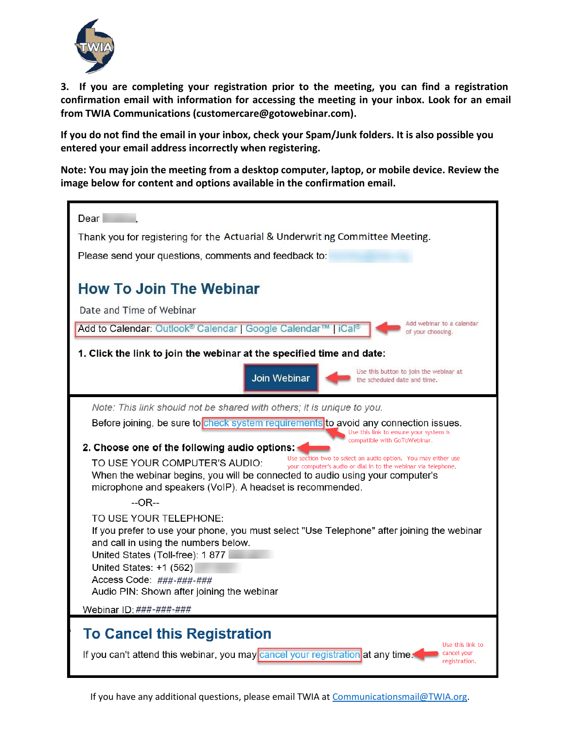

**3. If you are completing your registration prior to the meeting, you can find a registration confirmation email with information for accessing the meeting in your inbox. Look for an email from TWIA Communications (customercare@gotowebinar.com).**

**If you do not find the email in your inbox, check your Spam/Junk folders. It is also possible you entered your email address incorrectly when registering.** 

**Note: You may join the meeting from a desktop computer, laptop, or mobile device. Review the image below for content and options available in the confirmation email.** 



If you have any additional questions, please email TWIA at [Communicationsmail@TWIA.org.](mailto:Communicationsmail@TWIA.org)